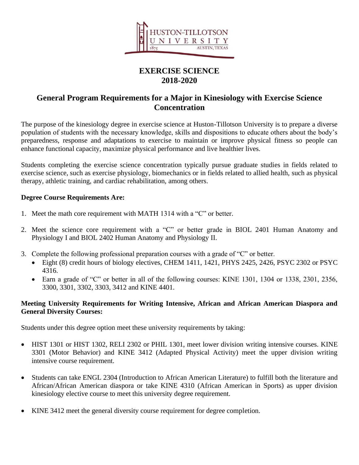

# **EXERCISE SCIENCE 2018-2020**

## **General Program Requirements for a Major in Kinesiology with Exercise Science Concentration**

The purpose of the kinesiology degree in exercise science at Huston-Tillotson University is to prepare a diverse population of students with the necessary knowledge, skills and dispositions to educate others about the body's preparedness, response and adaptations to exercise to maintain or improve physical fitness so people can enhance functional capacity, maximize physical performance and live healthier lives.

Students completing the exercise science concentration typically pursue graduate studies in fields related to exercise science, such as exercise physiology, biomechanics or in fields related to allied health, such as physical therapy, athletic training, and cardiac rehabilitation, among others.

#### **Degree Course Requirements Are:**

- 1. Meet the math core requirement with MATH 1314 with a "C" or better.
- 2. Meet the science core requirement with a "C" or better grade in BIOL 2401 Human Anatomy and Physiology I and BIOL 2402 Human Anatomy and Physiology II.
- 3. Complete the following professional preparation courses with a grade of "C" or better.
	- Eight (8) credit hours of biology electives, CHEM 1411, 1421, PHYS 2425, 2426, PSYC 2302 or PSYC 4316.
	- Earn a grade of "C" or better in all of the following courses: KINE 1301, 1304 or 1338, 2301, 2356, 3300, 3301, 3302, 3303, 3412 and KINE 4401.

#### **Meeting University Requirements for Writing Intensive, African and African American Diaspora and General Diversity Courses:**

Students under this degree option meet these university requirements by taking:

- HIST 1301 or HIST 1302, RELI 2302 or PHIL 1301, meet lower division writing intensive courses. KINE 3301 (Motor Behavior) and KINE 3412 (Adapted Physical Activity) meet the upper division writing intensive course requirement.
- Students can take ENGL 2304 (Introduction to African American Literature) to fulfill both the literature and African/African American diaspora or take KINE 4310 (African American in Sports) as upper division kinesiology elective course to meet this university degree requirement.
- KINE 3412 meet the general diversity course requirement for degree completion.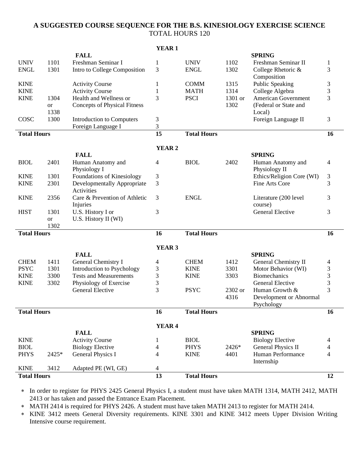#### **A SUGGESTED COURSE SEQUENCE FOR THE B.S. KINESIOLOGY EXERCISE SCIENCE** TOTAL HOURS 120

|                    |                   |                                           | YEAR <sub>1</sub>  |                    |         |                                  |              |
|--------------------|-------------------|-------------------------------------------|--------------------|--------------------|---------|----------------------------------|--------------|
|                    |                   | <b>FALL</b>                               |                    |                    |         | <b>SPRING</b>                    |              |
| <b>UNIV</b>        | 1101              | Freshman Seminar I                        | 1                  | <b>UNIV</b>        | 1102    | Freshman Seminar II              | $\mathbf{1}$ |
| <b>ENGL</b>        | 1301              | Intro to College Composition              | 3                  | <b>ENGL</b>        | 1302    | College Rhetoric &               | 3            |
|                    |                   |                                           |                    |                    |         | Composition                      |              |
| <b>KINE</b>        |                   | <b>Activity Course</b>                    | 1                  | <b>COMM</b>        | 1315    | <b>Public Speaking</b>           | 3            |
| <b>KINE</b>        |                   | <b>Activity Course</b>                    | 1                  | <b>MATH</b>        | 1314    | College Algebra                  | 3            |
| <b>KINE</b>        | 1304              | Health and Wellness or                    | 3                  | <b>PSCI</b>        | 1301 or | <b>American Government</b>       | 3            |
|                    | <b>or</b>         | <b>Concepts of Physical Fitness</b>       |                    |                    | 1302    | (Federal or State and            |              |
|                    | 1338              |                                           |                    |                    |         | Local)                           |              |
| COSC               | 1300              | Introduction to Computers                 | $\mathfrak{Z}$     |                    |         | Foreign Language II              | 3            |
|                    |                   | Foreign Language I                        | 3                  |                    |         |                                  |              |
| <b>Total Hours</b> |                   | 15                                        | <b>Total Hours</b> |                    |         | 16                               |              |
|                    |                   |                                           |                    |                    |         |                                  |              |
|                    |                   |                                           | <b>YEAR 2</b>      |                    |         |                                  |              |
|                    |                   | <b>FALL</b>                               |                    |                    |         | <b>SPRING</b>                    |              |
| <b>BIOL</b>        | 2401              | Human Anatomy and                         | 4                  | <b>BIOL</b>        | 2402    | Human Anatomy and                | 4            |
|                    |                   | Physiology I                              |                    |                    |         | Physiology II                    |              |
| <b>KINE</b>        | 1301              | Foundations of Kinesiology                | 3                  |                    |         | Ethics/Religion Core (WI)        | 3            |
| <b>KINE</b>        | 2301              | Developmentally Appropriate               | 3                  |                    |         | Fine Arts Core                   | 3            |
|                    |                   | Activities                                |                    |                    |         |                                  |              |
| <b>KINE</b>        | 2356              | Care & Prevention of Athletic             | 3                  | <b>ENGL</b>        |         | Literature (200 level<br>course) | 3            |
| <b>HIST</b>        | 1301              | Injuries                                  | 3                  |                    |         | <b>General Elective</b>          | 3            |
|                    |                   | U.S. History I or<br>U.S. History II (WI) |                    |                    |         |                                  |              |
|                    | <b>or</b><br>1302 |                                           |                    |                    |         |                                  |              |
| <b>Total Hours</b> |                   | 16                                        | <b>Total Hours</b> |                    |         | 16                               |              |
|                    |                   |                                           |                    |                    |         |                                  |              |
|                    |                   |                                           | YEAR <sub>3</sub>  |                    |         |                                  |              |
|                    |                   | <b>FALL</b>                               |                    |                    |         | <b>SPRING</b>                    |              |
| <b>CHEM</b>        | 1411              | General Chemistry I                       | 4                  | <b>CHEM</b>        | 1412    | General Chemistry II             | 4            |
| <b>PSYC</b>        | 1301              | Introduction to Psychology                | 3                  | <b>KINE</b>        | 3301    | Motor Behavior (WI)              | 3            |
| <b>KINE</b>        | 3300              | <b>Tests and Measurements</b>             | 3                  | <b>KINE</b>        | 3303    | <b>Biomechanics</b>              | 3            |
| <b>KINE</b>        | 3302              | Physiology of Exercise                    | 3                  |                    |         | <b>General Elective</b>          | 3            |
|                    |                   | <b>General Elective</b>                   | 3                  | <b>PSYC</b>        | 2302 or | Human Growth &                   | 3            |
|                    |                   |                                           |                    |                    | 4316    | Development or Abnormal          |              |
|                    |                   |                                           |                    |                    |         | Psychology                       |              |
| <b>Total Hours</b> |                   | 16                                        | <b>Total Hours</b> |                    |         | 16                               |              |
|                    |                   |                                           |                    |                    |         |                                  |              |
|                    |                   |                                           | YEAR <sub>4</sub>  |                    |         |                                  |              |
|                    |                   | <b>FALL</b>                               |                    |                    |         | <b>SPRING</b>                    |              |
| <b>KINE</b>        |                   | <b>Activity Course</b>                    | 1                  | <b>BIOL</b>        |         | <b>Biology Elective</b>          | 4            |
| <b>BIOL</b>        |                   | <b>Biology Elective</b>                   | 4                  | <b>PHYS</b>        | 2426*   | <b>General Physics II</b>        | 4            |
| <b>PHYS</b>        | 2425*             | <b>General Physics I</b>                  | 4                  | <b>KINE</b>        | 4401    | Human Performance                | 4            |
| <b>KINE</b>        | 3412              |                                           | $\overline{4}$     |                    |         | Internship                       |              |
| <b>Total Hours</b> |                   | Adapted PE (WI, GE)                       | 13                 | <b>Total Hours</b> |         |                                  | 12           |
|                    |                   |                                           |                    |                    |         |                                  |              |

\* In order to register for PHYS 2425 General Physics I, a student must have taken MATH 1314, MATH 2412, MATH 2413 or has taken and passed the Entrance Exam Placement.

MATH 2414 is required for PHYS 2426. A student must have taken MATH 2413 to register for MATH 2414.

 KINE 3412 meets General Diversity requirements. KINE 3301 and KINE 3412 meets Upper Division Writing Intensive course requirement.